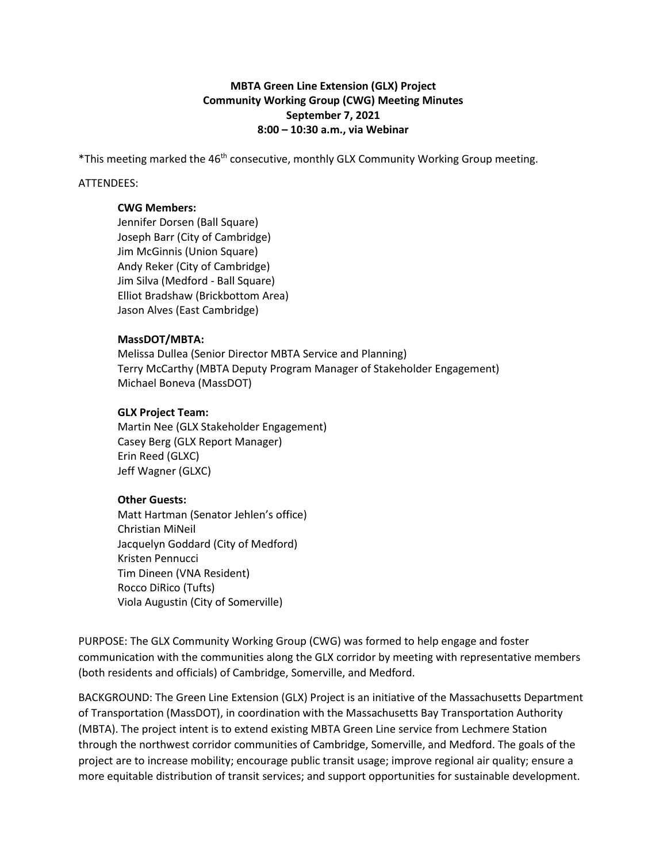# **MBTA Green Line Extension (GLX) Project Community Working Group (CWG) Meeting Minutes September 7, 2021 8:00 – 10:30 a.m., via Webinar**

\*This meeting marked the 46<sup>th</sup> consecutive, monthly GLX Community Working Group meeting.

### ATTENDEES:

#### **CWG Members:**

Jennifer Dorsen (Ball Square) Joseph Barr (City of Cambridge) Jim McGinnis (Union Square) Andy Reker (City of Cambridge) Jim Silva (Medford - Ball Square) Elliot Bradshaw (Brickbottom Area) Jason Alves (East Cambridge)

## **MassDOT/MBTA:**

Melissa Dullea (Senior Director MBTA Service and Planning) Terry McCarthy (MBTA Deputy Program Manager of Stakeholder Engagement) Michael Boneva (MassDOT)

# **GLX Project Team:**

Martin Nee (GLX Stakeholder Engagement) Casey Berg (GLX Report Manager) Erin Reed (GLXC) Jeff Wagner (GLXC)

## **Other Guests:**

Matt Hartman (Senator Jehlen's office) Christian MiNeil Jacquelyn Goddard (City of Medford) Kristen Pennucci Tim Dineen (VNA Resident) Rocco DiRico (Tufts) Viola Augustin (City of Somerville)

PURPOSE: The GLX Community Working Group (CWG) was formed to help engage and foster communication with the communities along the GLX corridor by meeting with representative members (both residents and officials) of Cambridge, Somerville, and Medford.

BACKGROUND: The Green Line Extension (GLX) Project is an initiative of the Massachusetts Department of Transportation (MassDOT), in coordination with the Massachusetts Bay Transportation Authority (MBTA). The project intent is to extend existing MBTA Green Line service from Lechmere Station through the northwest corridor communities of Cambridge, Somerville, and Medford. The goals of the project are to increase mobility; encourage public transit usage; improve regional air quality; ensure a more equitable distribution of transit services; and support opportunities for sustainable development.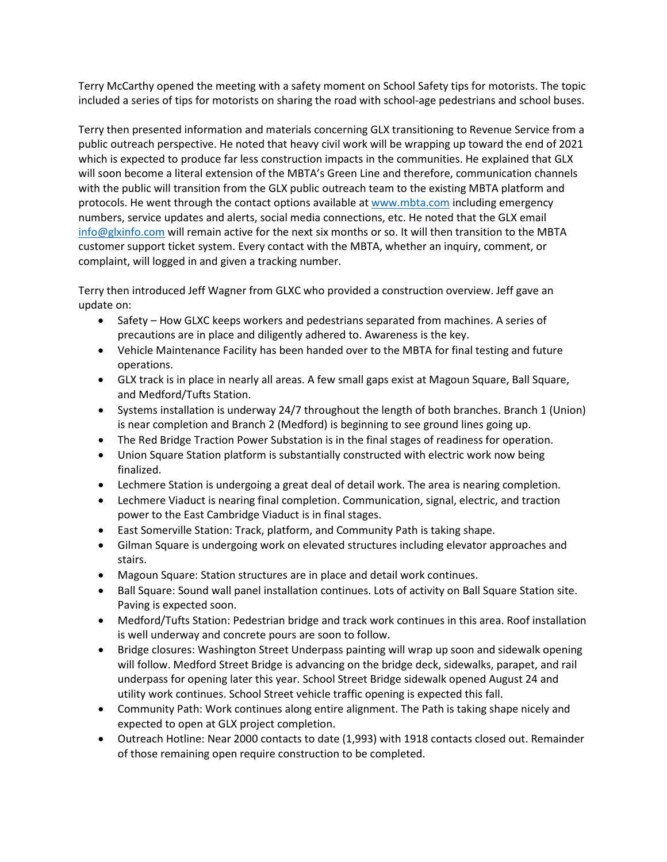Terry McCarthy opened the meeting with a safety moment on School Safety tips for motorists. The topic included a series of tips for motorists on sharing the road with school-age pedestrians and school buses.

Terry then presented information and materials concerning GLX transitioning to Revenue Service from a public outreach perspective. He noted that heavy civil work will be wrapping up toward the end of 2021 which is expected to produce far less construction impacts in the communities. He explained that GLX will soon become a literal extension of the MBTA's Green Line and therefore, communication channels with the public will transition from the GLX public outreach team to the existing MBTA platform and protocols. He went through the contact options available at [www.mbta.com](http://www.mbta.com/) including emergency numbers, service updates and alerts, social media connections, etc. He noted that the GLX email [info@glxinfo.com](mailto:info@glxinfo.com) will remain active for the next six months or so. It will then transition to the MBTA customer support ticket system. Every contact with the MBTA, whether an inquiry, comment, or complaint, will logged in and given a tracking number.

Terry then introduced Jeff Wagner from GLXC who provided a construction overview. Jeff gave an update on:

- Safety How GLXC keeps workers and pedestrians separated from machines. A series of precautions are in place and diligently adhered to. Awareness is the key.
- Vehicle Maintenance Facility has been handed over to the MBTA for final testing and future operations.
- GLX track is in place in nearly all areas. A few small gaps exist at Magoun Square, Ball Square, and Medford/Tufts Station.
- Systems installation is underway 24/7 throughout the length of both branches. Branch 1 (Union) is near completion and Branch 2 (Medford) is beginning to see ground lines going up.
- The Red Bridge Traction Power Substation is in the final stages of readiness for operation.
- Union Square Station platform is substantially constructed with electric work now being finalized.
- Lechmere Station is undergoing a great deal of detail work. The area is nearing completion.
- Lechmere Viaduct is nearing final completion. Communication, signal, electric, and traction power to the East Cambridge Viaduct is in final stages.
- East Somerville Station: Track, platform, and Community Path is taking shape.
- Gilman Square is undergoing work on elevated structures including elevator approaches and stairs.
- Magoun Square: Station structures are in place and detail work continues.
- Ball Square: Sound wall panel installation continues. Lots of activity on Ball Square Station site. Paving is expected soon.
- Medford/Tufts Station: Pedestrian bridge and track work continues in this area. Roof installation is well underway and concrete pours are soon to follow.
- Bridge closures: Washington Street Underpass painting will wrap up soon and sidewalk opening will follow. Medford Street Bridge is advancing on the bridge deck, sidewalks, parapet, and rail underpass for opening later this year. School Street Bridge sidewalk opened August 24 and utility work continues. School Street vehicle traffic opening is expected this fall.
- Community Path: Work continues along entire alignment. The Path is taking shape nicely and expected to open at GLX project completion.
- Outreach Hotline: Near 2000 contacts to date (1,993) with 1918 contacts closed out. Remainder of those remaining open require construction to be completed.